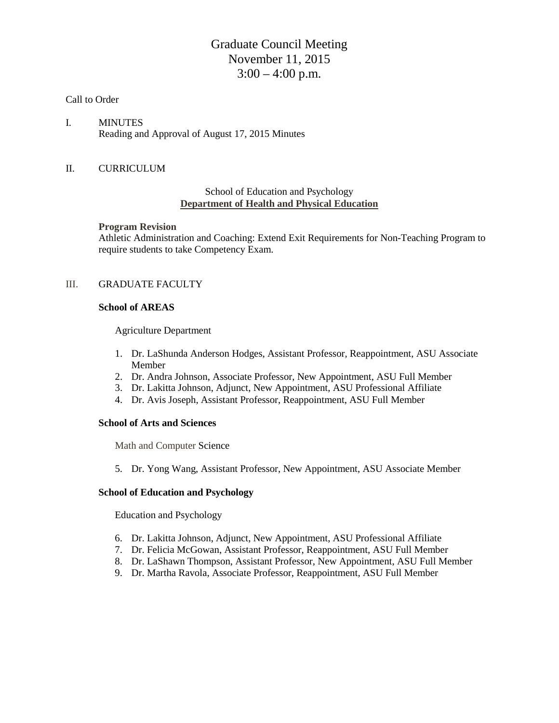# Graduate Council Meeting November 11, 2015  $3:00 - 4:00$  p.m.

#### Call to Order

I. MINUTES Reading and Approval of August 17, 2015 Minutes

# II. CURRICULUM

### School of Education and Psychology **Department of Health and Physical Education**

#### **Program Revision**

Athletic Administration and Coaching: Extend Exit Requirements for Non-Teaching Program to require students to take Competency Exam.

## III. GRADUATE FACULTY

### **School of AREAS**

Agriculture Department

- 1. Dr. LaShunda Anderson Hodges, Assistant Professor, Reappointment, ASU Associate Member
- 2. Dr. Andra Johnson, Associate Professor, New Appointment, ASU Full Member
- 3. Dr. Lakitta Johnson, Adjunct, New Appointment, ASU Professional Affiliate
- 4. Dr. Avis Joseph, Assistant Professor, Reappointment, ASU Full Member

#### **School of Arts and Sciences**

Math and Computer Science

5. Dr. Yong Wang, Assistant Professor, New Appointment, ASU Associate Member

## **School of Education and Psychology**

Education and Psychology

- 6. Dr. Lakitta Johnson, Adjunct, New Appointment, ASU Professional Affiliate
- 7. Dr. Felicia McGowan, Assistant Professor, Reappointment, ASU Full Member
- 8. Dr. LaShawn Thompson, Assistant Professor, New Appointment, ASU Full Member
- 9. Dr. Martha Ravola, Associate Professor, Reappointment, ASU Full Member